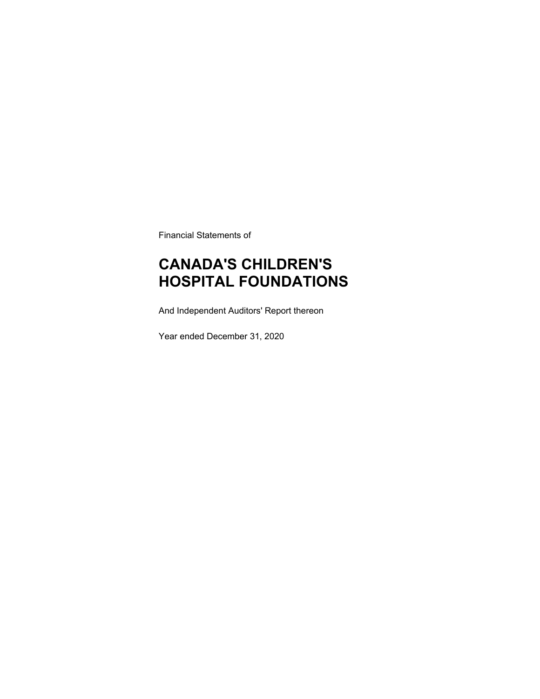Financial Statements of

# **CANADA'S CHILDREN'S HOSPITAL FOUNDATIONS**

And Independent Auditors' Report thereon

Year ended December 31, 2020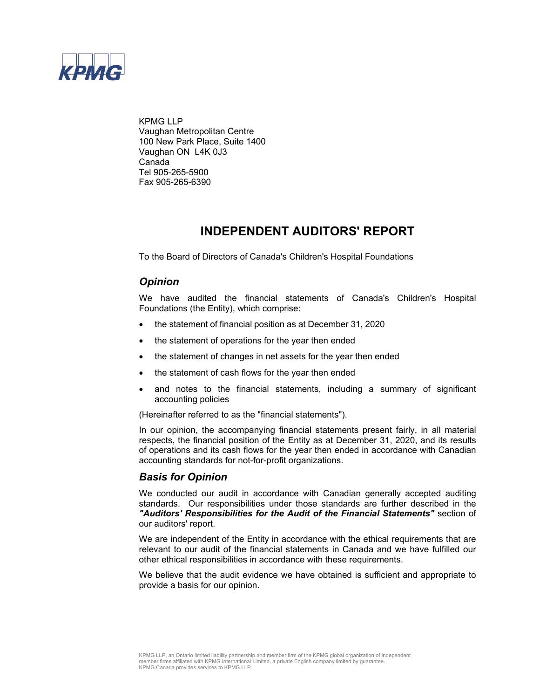

KPMG LLP Vaughan Metropolitan Centre 100 New Park Place, Suite 1400 Vaughan ON L4K 0J3 Canada Tel 905-265-5900 Fax 905-265-6390

# **INDEPENDENT AUDITORS' REPORT**

To the Board of Directors of Canada's Children's Hospital Foundations

# *Opinion*

We have audited the financial statements of Canada's Children's Hospital Foundations (the Entity), which comprise:

- the statement of financial position as at December 31, 2020
- the statement of operations for the year then ended
- the statement of changes in net assets for the year then ended
- the statement of cash flows for the year then ended
- and notes to the financial statements, including a summary of significant accounting policies

(Hereinafter referred to as the "financial statements").

In our opinion, the accompanying financial statements present fairly, in all material respects, the financial position of the Entity as at December 31, 2020, and its results of operations and its cash flows for the year then ended in accordance with Canadian accounting standards for not-for-profit organizations.

# *Basis for Opinion*

We conducted our audit in accordance with Canadian generally accepted auditing standards. Our responsibilities under those standards are further described in the *"Auditors' Responsibilities for the Audit of the Financial Statements"* section of our auditors' report.

We are independent of the Entity in accordance with the ethical requirements that are relevant to our audit of the financial statements in Canada and we have fulfilled our other ethical responsibilities in accordance with these requirements.

We believe that the audit evidence we have obtained is sufficient and appropriate to provide a basis for our opinion.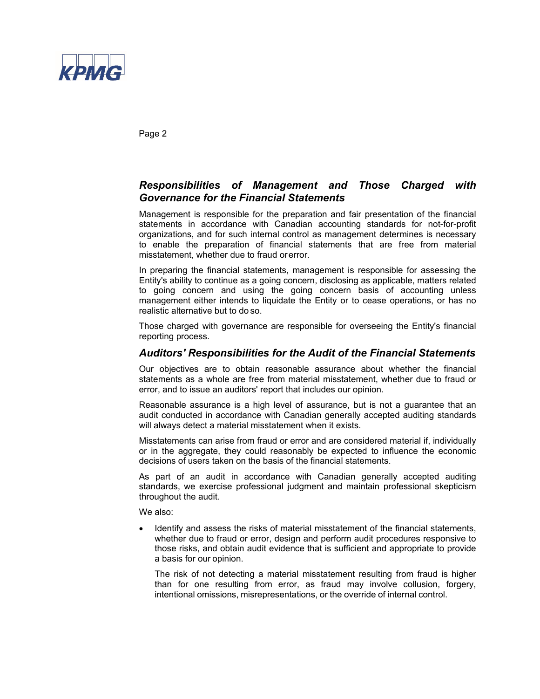

Page 2

# *Responsibilities of Management and Those Charged with Governance for the Financial Statements*

Management is responsible for the preparation and fair presentation of the financial statements in accordance with Canadian accounting standards for not-for-profit organizations, and for such internal control as management determines is necessary to enable the preparation of financial statements that are free from material misstatement, whether due to fraud orerror.

In preparing the financial statements, management is responsible for assessing the Entity's ability to continue as a going concern, disclosing as applicable, matters related to going concern and using the going concern basis of accounting unless management either intends to liquidate the Entity or to cease operations, or has no realistic alternative but to do so.

Those charged with governance are responsible for overseeing the Entity's financial reporting process.

## *Auditors' Responsibilities for the Audit of the Financial Statements*

Our objectives are to obtain reasonable assurance about whether the financial statements as a whole are free from material misstatement, whether due to fraud or error, and to issue an auditors' report that includes our opinion.

Reasonable assurance is a high level of assurance, but is not a guarantee that an audit conducted in accordance with Canadian generally accepted auditing standards will always detect a material misstatement when it exists.

Misstatements can arise from fraud or error and are considered material if, individually or in the aggregate, they could reasonably be expected to influence the economic decisions of users taken on the basis of the financial statements.

As part of an audit in accordance with Canadian generally accepted auditing standards, we exercise professional judgment and maintain professional skepticism throughout the audit.

We also:

• Identify and assess the risks of material misstatement of the financial statements, whether due to fraud or error, design and perform audit procedures responsive to those risks, and obtain audit evidence that is sufficient and appropriate to provide a basis for our opinion.

The risk of not detecting a material misstatement resulting from fraud is higher than for one resulting from error, as fraud may involve collusion, forgery, intentional omissions, misrepresentations, or the override of internal control.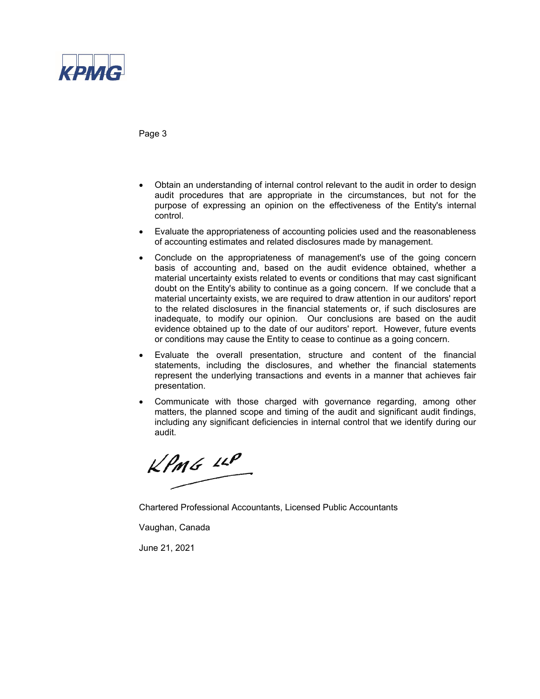

Page 3

- Obtain an understanding of internal control relevant to the audit in order to design audit procedures that are appropriate in the circumstances, but not for the purpose of expressing an opinion on the effectiveness of the Entity's internal control.
- Evaluate the appropriateness of accounting policies used and the reasonableness of accounting estimates and related disclosures made by management.
- Conclude on the appropriateness of management's use of the going concern basis of accounting and, based on the audit evidence obtained, whether a material uncertainty exists related to events or conditions that may cast significant doubt on the Entity's ability to continue as a going concern. If we conclude that a material uncertainty exists, we are required to draw attention in our auditors' report to the related disclosures in the financial statements or, if such disclosures are inadequate, to modify our opinion. Our conclusions are based on the audit evidence obtained up to the date of our auditors' report. However, future events or conditions may cause the Entity to cease to continue as a going concern.
- Evaluate the overall presentation, structure and content of the financial statements, including the disclosures, and whether the financial statements represent the underlying transactions and events in a manner that achieves fair presentation.
- Communicate with those charged with governance regarding, among other matters, the planned scope and timing of the audit and significant audit findings, including any significant deficiencies in internal control that we identify during our audit.

 $KPMG$  14P

Chartered Professional Accountants, Licensed Public Accountants

Vaughan, Canada

June 21, 2021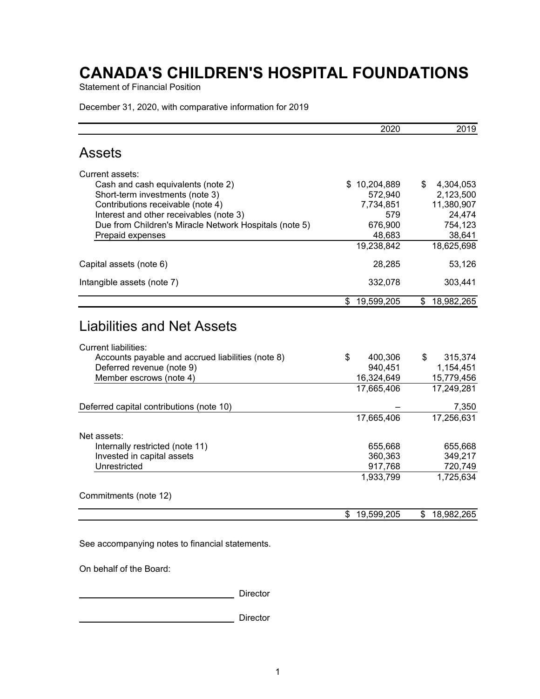Statement of Financial Position

December 31, 2020, with comparative information for 2019

|                                                        | 2020          | 2019            |
|--------------------------------------------------------|---------------|-----------------|
| <b>Assets</b>                                          |               |                 |
| Current assets:                                        |               |                 |
| Cash and cash equivalents (note 2)                     | \$10,204,889  | \$<br>4,304,053 |
| Short-term investments (note 3)                        | 572,940       | 2,123,500       |
| Contributions receivable (note 4)                      | 7,734,851     | 11,380,907      |
| Interest and other receivables (note 3)                | 579           | 24,474          |
| Due from Children's Miracle Network Hospitals (note 5) | 676,900       | 754,123         |
| Prepaid expenses                                       | 48,683        | 38,641          |
|                                                        | 19,238,842    | 18,625,698      |
| Capital assets (note 6)                                | 28,285        | 53,126          |
| Intangible assets (note 7)                             | 332,078       | 303,441         |
|                                                        | \$19,599,205  | \$18,982,265    |
| <b>Liabilities and Net Assets</b>                      |               |                 |
| <b>Current liabilities:</b>                            |               |                 |
| Accounts payable and accrued liabilities (note 8)      | \$<br>400,306 | \$<br>315,374   |
| Deferred revenue (note 9)                              | 940,451       | 1,154,451       |
| Member escrows (note 4)                                | 16,324,649    | 15,779,456      |
|                                                        | 17,665,406    | 17,249,281      |
| Deferred capital contributions (note 10)               |               | 7,350           |
|                                                        | 17,665,406    | 17,256,631      |
| Net assets:                                            |               |                 |
| Internally restricted (note 11)                        | 655,668       | 655,668         |
| Invested in capital assets                             | 360,363       | 349,217         |
| Unrestricted                                           | 917,768       | 720,749         |
|                                                        | 1,933,799     | 1,725,634       |
| Commitments (note 12)                                  |               |                 |
|                                                        | \$19,599,205  | \$18,982,265    |
|                                                        |               |                 |

See accompanying notes to financial statements.

On behalf of the Board:

**Director** Director

Director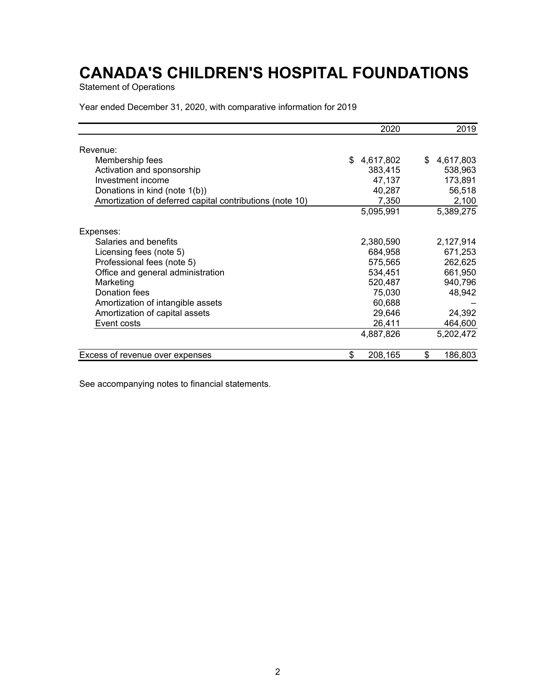Statement of Operations

Year ended December 31, 2020, with comparative information for 2019

|                                                          | 2020            | 2019            |
|----------------------------------------------------------|-----------------|-----------------|
| Revenue:                                                 |                 |                 |
| Membership fees                                          | 4,617,802<br>\$ | 4,617,803<br>\$ |
| Activation and sponsorship                               | 383,415         | 538,963         |
| Investment income                                        | 47,137          | 173,891         |
| Donations in kind (note 1(b))                            | 40,287          | 56,518          |
| Amortization of deferred capital contributions (note 10) | 7,350           | 2,100           |
|                                                          | 5,095,991       | 5,389,275       |
| Expenses:                                                |                 |                 |
| Salaries and benefits                                    | 2,380,590       | 2,127,914       |
| Licensing fees (note 5)                                  | 684,958         | 671,253         |
| Professional fees (note 5)                               | 575,565         | 262,625         |
| Office and general administration                        | 534,451         | 661,950         |
| Marketing                                                | 520,487         | 940,796         |
| Donation fees                                            | 75,030          | 48,942          |
| Amortization of intangible assets                        | 60,688          |                 |
| Amortization of capital assets                           | 29,646          | 24,392          |
| Event costs                                              | 26,411          | 464,600         |
|                                                          | 4,887,826       | 5,202,472       |
| Excess of revenue over expenses                          | 208,165<br>S    | \$<br>186,803   |

See accompanying notes to financial statements.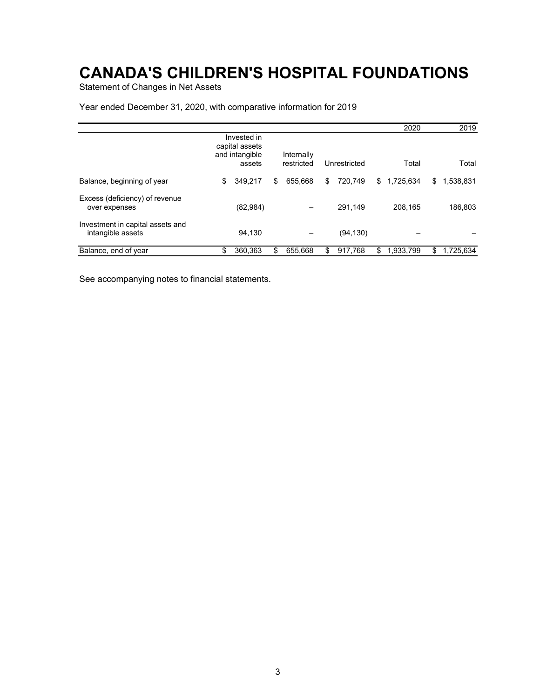Statement of Changes in Net Assets

Year ended December 31, 2020, with comparative information for 2019

|                                                       |                                                           |                          |               | 2020            | 2019            |
|-------------------------------------------------------|-----------------------------------------------------------|--------------------------|---------------|-----------------|-----------------|
|                                                       | Invested in<br>capital assets<br>and intangible<br>assets | Internally<br>restricted | Unrestricted  | Total           | Total           |
|                                                       |                                                           |                          |               |                 |                 |
| Balance, beginning of year                            | \$<br>349.217                                             | \$<br>655.668            | \$<br>720.749 | \$<br>1,725,634 | \$<br>1,538,831 |
| Excess (deficiency) of revenue<br>over expenses       | (82, 984)                                                 |                          | 291,149       | 208.165         | 186,803         |
| Investment in capital assets and<br>intangible assets | 94,130                                                    |                          | (94,130)      |                 |                 |
| Balance, end of year                                  | \$<br>360.363                                             | \$<br>655.668            | \$<br>917.768 | \$<br>1,933,799 | \$<br>1,725,634 |

See accompanying notes to financial statements.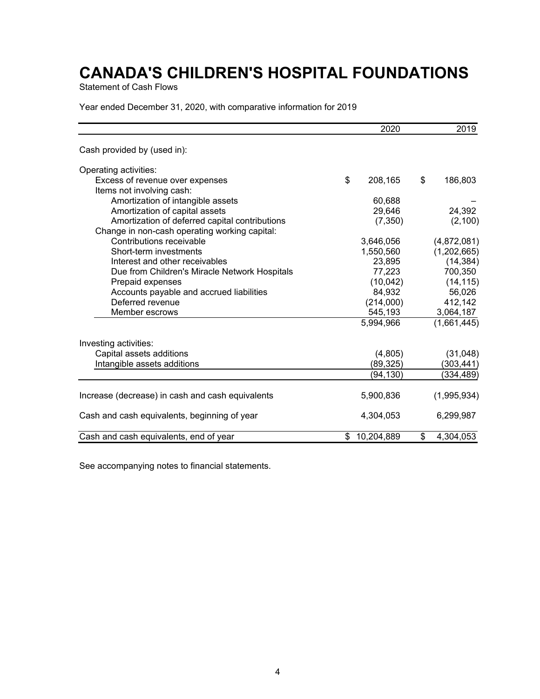Statement of Cash Flows

Year ended December 31, 2020, with comparative information for 2019

|                                                  | 2020             | 2019            |
|--------------------------------------------------|------------------|-----------------|
| Cash provided by (used in):                      |                  |                 |
| Operating activities:                            |                  |                 |
| Excess of revenue over expenses                  | \$<br>208,165    | \$<br>186,803   |
| Items not involving cash:                        |                  |                 |
| Amortization of intangible assets                | 60,688           |                 |
| Amortization of capital assets                   | 29,646           | 24,392          |
| Amortization of deferred capital contributions   | (7, 350)         | (2,100)         |
| Change in non-cash operating working capital:    |                  |                 |
| Contributions receivable                         | 3,646,056        | (4,872,081)     |
| Short-term investments                           | 1,550,560        | (1,202,665)     |
| Interest and other receivables                   | 23,895           | (14, 384)       |
| Due from Children's Miracle Network Hospitals    | 77,223           | 700,350         |
| Prepaid expenses                                 | (10, 042)        | (14, 115)       |
| Accounts payable and accrued liabilities         | 84,932           | 56,026          |
| Deferred revenue                                 | (214,000)        | 412,142         |
| Member escrows                                   | 545,193          | 3,064,187       |
|                                                  | 5,994,966        | (1,661,445)     |
| Investing activities:                            |                  |                 |
| Capital assets additions                         | (4,805)          | (31, 048)       |
| Intangible assets additions                      | (89, 325)        | (303,441)       |
|                                                  | (94,130)         | (334,489)       |
| Increase (decrease) in cash and cash equivalents | 5,900,836        | (1,995,934)     |
| Cash and cash equivalents, beginning of year     | 4,304,053        | 6,299,987       |
| Cash and cash equivalents, end of year           | \$<br>10,204,889 | \$<br>4,304,053 |

See accompanying notes to financial statements.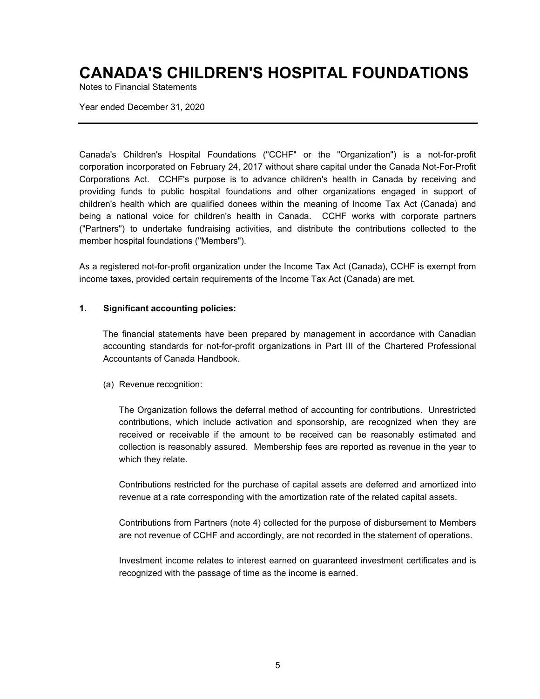Notes to Financial Statements

Year ended December 31, 2020

Canada's Children's Hospital Foundations ("CCHF" or the "Organization") is a not-for-profit corporation incorporated on February 24, 2017 without share capital under the Canada Not-For-Profit Corporations Act. CCHF's purpose is to advance children's health in Canada by receiving and providing funds to public hospital foundations and other organizations engaged in support of children's health which are qualified donees within the meaning of Income Tax Act (Canada) and being a national voice for children's health in Canada. CCHF works with corporate partners ("Partners") to undertake fundraising activities, and distribute the contributions collected to the member hospital foundations ("Members").

As a registered not-for-profit organization under the Income Tax Act (Canada), CCHF is exempt from income taxes, provided certain requirements of the Income Tax Act (Canada) are met.

### **1. Significant accounting policies:**

The financial statements have been prepared by management in accordance with Canadian accounting standards for not-for-profit organizations in Part III of the Chartered Professional Accountants of Canada Handbook.

(a) Revenue recognition:

The Organization follows the deferral method of accounting for contributions. Unrestricted contributions, which include activation and sponsorship, are recognized when they are received or receivable if the amount to be received can be reasonably estimated and collection is reasonably assured. Membership fees are reported as revenue in the year to which they relate.

Contributions restricted for the purchase of capital assets are deferred and amortized into revenue at a rate corresponding with the amortization rate of the related capital assets.

Contributions from Partners (note 4) collected for the purpose of disbursement to Members are not revenue of CCHF and accordingly, are not recorded in the statement of operations.

Investment income relates to interest earned on guaranteed investment certificates and is recognized with the passage of time as the income is earned.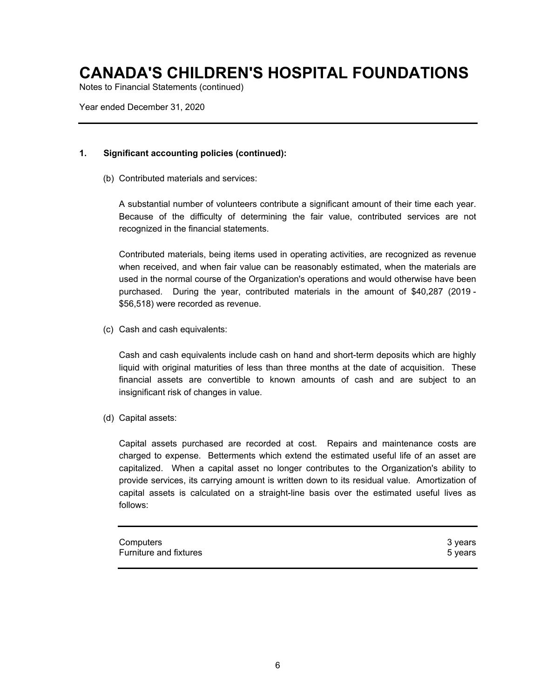Notes to Financial Statements (continued)

Year ended December 31, 2020

### **1. Significant accounting policies (continued):**

(b) Contributed materials and services:

A substantial number of volunteers contribute a significant amount of their time each year. Because of the difficulty of determining the fair value, contributed services are not recognized in the financial statements.

Contributed materials, being items used in operating activities, are recognized as revenue when received, and when fair value can be reasonably estimated, when the materials are used in the normal course of the Organization's operations and would otherwise have been purchased. During the year, contributed materials in the amount of \$40,287 (2019 - \$56,518) were recorded as revenue.

(c) Cash and cash equivalents:

Cash and cash equivalents include cash on hand and short-term deposits which are highly liquid with original maturities of less than three months at the date of acquisition. These financial assets are convertible to known amounts of cash and are subject to an insignificant risk of changes in value.

(d) Capital assets:

Capital assets purchased are recorded at cost. Repairs and maintenance costs are charged to expense. Betterments which extend the estimated useful life of an asset are capitalized. When a capital asset no longer contributes to the Organization's ability to provide services, its carrying amount is written down to its residual value. Amortization of capital assets is calculated on a straight-line basis over the estimated useful lives as follows:

| Computers              | 3 years |
|------------------------|---------|
| Furniture and fixtures | 5 years |
|                        |         |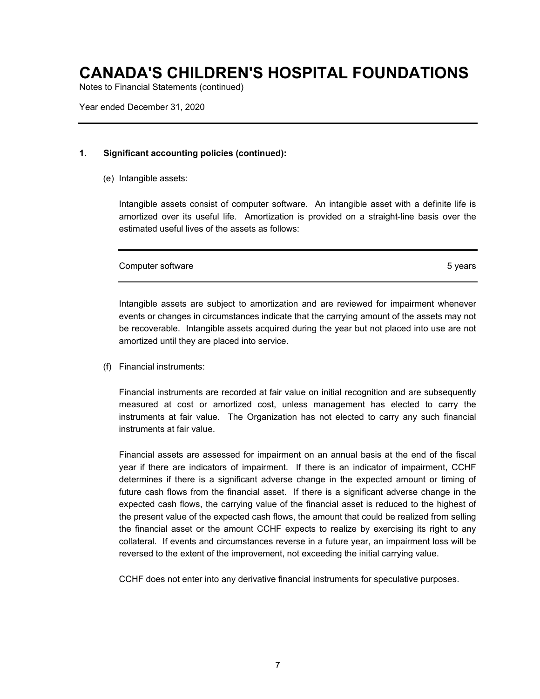Notes to Financial Statements (continued)

Year ended December 31, 2020

### **1. Significant accounting policies (continued):**

(e) Intangible assets:

Intangible assets consist of computer software. An intangible asset with a definite life is amortized over its useful life. Amortization is provided on a straight-line basis over the estimated useful lives of the assets as follows:

Computer software 5 years 3 years 3 years 3 years 3 years 3 years 3 years 3 years 3 years 3 years 3 years 3 years 3 years 3 years 3 years 3 years 3 years 3 years 3 years 3 years 3 years 3 years 3 years 3 years 3 years 3 ye

Intangible assets are subject to amortization and are reviewed for impairment whenever events or changes in circumstances indicate that the carrying amount of the assets may not be recoverable. Intangible assets acquired during the year but not placed into use are not amortized until they are placed into service.

(f) Financial instruments:

Financial instruments are recorded at fair value on initial recognition and are subsequently measured at cost or amortized cost, unless management has elected to carry the instruments at fair value. The Organization has not elected to carry any such financial instruments at fair value.

Financial assets are assessed for impairment on an annual basis at the end of the fiscal year if there are indicators of impairment. If there is an indicator of impairment, CCHF determines if there is a significant adverse change in the expected amount or timing of future cash flows from the financial asset. If there is a significant adverse change in the expected cash flows, the carrying value of the financial asset is reduced to the highest of the present value of the expected cash flows, the amount that could be realized from selling the financial asset or the amount CCHF expects to realize by exercising its right to any collateral. If events and circumstances reverse in a future year, an impairment loss will be reversed to the extent of the improvement, not exceeding the initial carrying value.

CCHF does not enter into any derivative financial instruments for speculative purposes.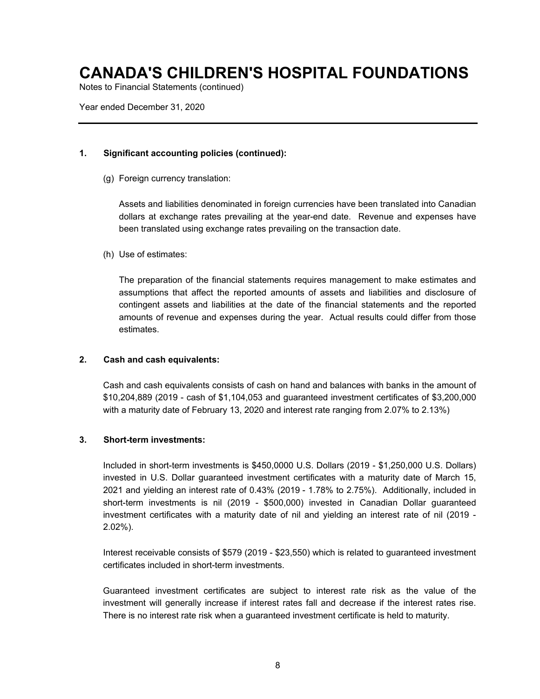Notes to Financial Statements (continued)

Year ended December 31, 2020

### **1. Significant accounting policies (continued):**

(g) Foreign currency translation:

Assets and liabilities denominated in foreign currencies have been translated into Canadian dollars at exchange rates prevailing at the year-end date. Revenue and expenses have been translated using exchange rates prevailing on the transaction date.

(h) Use of estimates:

The preparation of the financial statements requires management to make estimates and assumptions that affect the reported amounts of assets and liabilities and disclosure of contingent assets and liabilities at the date of the financial statements and the reported amounts of revenue and expenses during the year. Actual results could differ from those estimates.

### **2. Cash and cash equivalents:**

Cash and cash equivalents consists of cash on hand and balances with banks in the amount of \$10,204,889 (2019 - cash of \$1,104,053 and guaranteed investment certificates of \$3,200,000 with a maturity date of February 13, 2020 and interest rate ranging from 2.07% to 2.13%)

### **3. Short-term investments:**

Included in short-term investments is \$450,0000 U.S. Dollars (2019 - \$1,250,000 U.S. Dollars) invested in U.S. Dollar guaranteed investment certificates with a maturity date of March 15, 2021 and yielding an interest rate of 0.43% (2019 - 1.78% to 2.75%). Additionally, included in short-term investments is nil (2019 - \$500,000) invested in Canadian Dollar guaranteed investment certificates with a maturity date of nil and yielding an interest rate of nil (2019 - 2.02%).

Interest receivable consists of \$579 (2019 - \$23,550) which is related to guaranteed investment certificates included in short-term investments.

Guaranteed investment certificates are subject to interest rate risk as the value of the investment will generally increase if interest rates fall and decrease if the interest rates rise. There is no interest rate risk when a guaranteed investment certificate is held to maturity.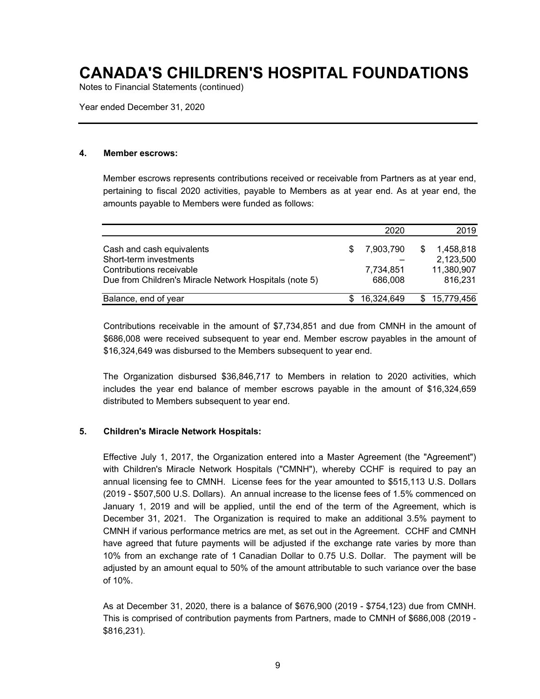Notes to Financial Statements (continued)

Year ended December 31, 2020

#### **4. Member escrows:**

Member escrows represents contributions received or receivable from Partners as at year end, pertaining to fiscal 2020 activities, payable to Members as at year end. As at year end, the amounts payable to Members were funded as follows:

|                                                                                                                                           | 2020                              | 2019                                            |
|-------------------------------------------------------------------------------------------------------------------------------------------|-----------------------------------|-------------------------------------------------|
| Cash and cash equivalents<br>Short-term investments<br>Contributions receivable<br>Due from Children's Miracle Network Hospitals (note 5) | 7,903,790<br>7,734,851<br>686,008 | 1,458,818<br>2,123,500<br>11,380,907<br>816,231 |
|                                                                                                                                           |                                   |                                                 |
| Balance, end of year                                                                                                                      | 16,324,649                        | 15,779,456                                      |

Contributions receivable in the amount of \$7,734,851 and due from CMNH in the amount of \$686,008 were received subsequent to year end. Member escrow payables in the amount of \$16,324,649 was disbursed to the Members subsequent to year end.

The Organization disbursed \$36,846,717 to Members in relation to 2020 activities, which includes the year end balance of member escrows payable in the amount of \$16,324,659 distributed to Members subsequent to year end.

### **5. Children's Miracle Network Hospitals:**

Effective July 1, 2017, the Organization entered into a Master Agreement (the "Agreement") with Children's Miracle Network Hospitals ("CMNH"), whereby CCHF is required to pay an annual licensing fee to CMNH. License fees for the year amounted to \$515,113 U.S. Dollars (2019 - \$507,500 U.S. Dollars). An annual increase to the license fees of 1.5% commenced on January 1, 2019 and will be applied, until the end of the term of the Agreement, which is December 31, 2021. The Organization is required to make an additional 3.5% payment to CMNH if various performance metrics are met, as set out in the Agreement. CCHF and CMNH have agreed that future payments will be adjusted if the exchange rate varies by more than 10% from an exchange rate of 1 Canadian Dollar to 0.75 U.S. Dollar. The payment will be adjusted by an amount equal to 50% of the amount attributable to such variance over the base of 10%.

As at December 31, 2020, there is a balance of \$676,900 (2019 - \$754,123) due from CMNH. This is comprised of contribution payments from Partners, made to CMNH of \$686,008 (2019 - \$816,231).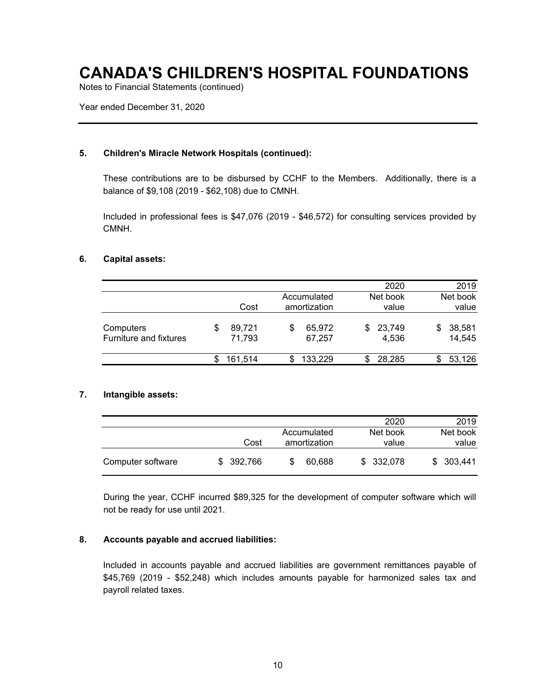Notes to Financial Statements (continued)

Year ended December 31, 2020

### **5. Children's Miracle Network Hospitals (continued):**

These contributions are to be disbursed by CCHF to the Members. Additionally, there is a balance of \$9,108 (2019 - \$62,108) due to CMNH.

Included in professional fees is \$47,076 (2019 - \$46,572) for consulting services provided by CMNH.

### **6. Capital assets:**

|                                     |   |                  |             |                  | 2020                  | 2019                   |
|-------------------------------------|---|------------------|-------------|------------------|-----------------------|------------------------|
|                                     |   |                  | Accumulated |                  | Net book              | Net book               |
|                                     |   | Cost             |             | amortization     | value                 | value                  |
| Computers<br>Furniture and fixtures | S | 89,721<br>71,793 | \$          | 65,972<br>67.257 | \$<br>23,749<br>4,536 | \$<br>38,581<br>14,545 |
|                                     |   | 161.514          |             | 133,229          | 28,285                | 53,126                 |

### **7. Intangible assets:**

|                   |            |              | 2020      | 2019      |
|-------------------|------------|--------------|-----------|-----------|
|                   |            | Accumulated  | Net book  | Net book  |
|                   | Cost       | amortization | value     | value     |
| Computer software | \$ 392,766 | 60.688<br>S  | \$332,078 | \$303,441 |

During the year, CCHF incurred \$89,325 for the development of computer software which will not be ready for use until 2021.

### **8. Accounts payable and accrued liabilities:**

Included in accounts payable and accrued liabilities are government remittances payable of \$45,769 (2019 - \$52,248) which includes amounts payable for harmonized sales tax and payroll related taxes.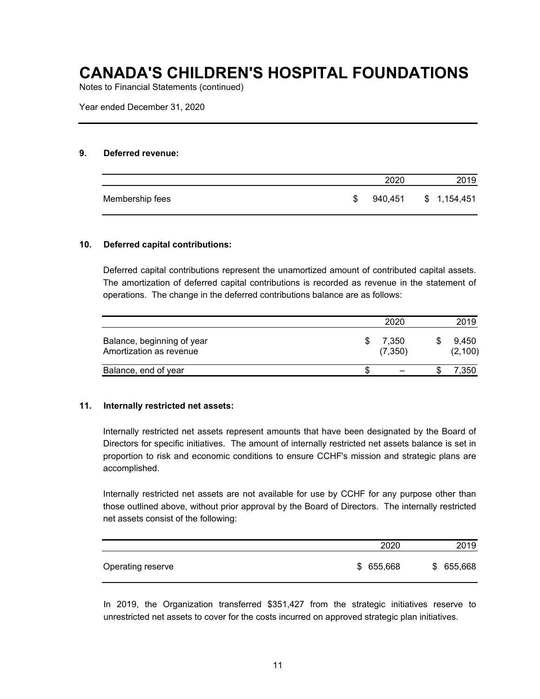Notes to Financial Statements (continued)

Year ended December 31, 2020

### **9. Deferred revenue:**

|                 | 2020    | 2019         |
|-----------------|---------|--------------|
| Membership fees | 940.451 | \$ 1,154,451 |

#### **10. Deferred capital contributions:**

Deferred capital contributions represent the unamortized amount of contributed capital assets. The amortization of deferred capital contributions is recorded as revenue in the statement of operations. The change in the deferred contributions balance are as follows:

|                                                       | 2020              | 2019              |
|-------------------------------------------------------|-------------------|-------------------|
| Balance, beginning of year<br>Amortization as revenue | 7.350<br>(7, 350) | 9.450<br>(2, 100) |
| Balance, end of year                                  |                   | 7,350             |

### **11. Internally restricted net assets:**

Internally restricted net assets represent amounts that have been designated by the Board of Directors for specific initiatives. The amount of internally restricted net assets balance is set in proportion to risk and economic conditions to ensure CCHF's mission and strategic plans are accomplished.

Internally restricted net assets are not available for use by CCHF for any purpose other than those outlined above, without prior approval by the Board of Directors. The internally restricted net assets consist of the following:

|                   | 2020      | 2019      |
|-------------------|-----------|-----------|
| Operating reserve | \$655,668 | \$655,668 |

In 2019, the Organization transferred \$351,427 from the strategic initiatives reserve to unrestricted net assets to cover for the costs incurred on approved strategic plan initiatives.